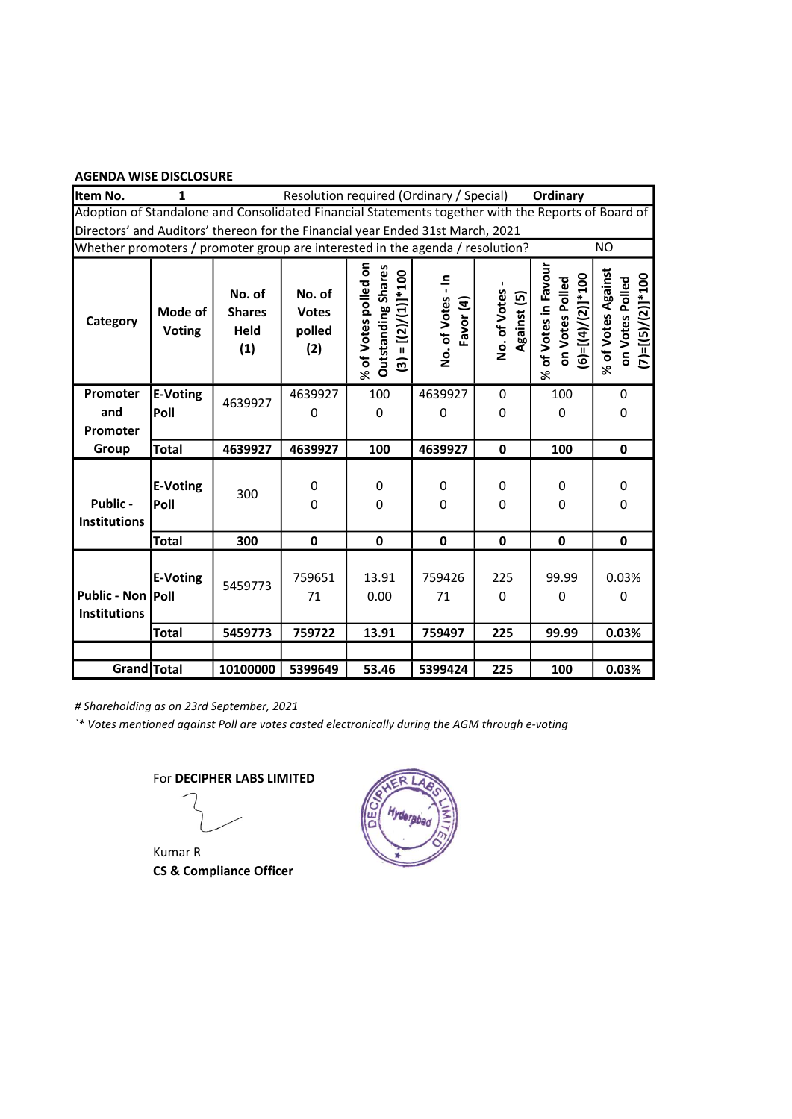| Item No.                                                                                           | 1                        |                                        | Resolution required (Ordinary / Special) |                                                                                |                                |                             | Ordinary                                                       |                                                                              |
|----------------------------------------------------------------------------------------------------|--------------------------|----------------------------------------|------------------------------------------|--------------------------------------------------------------------------------|--------------------------------|-----------------------------|----------------------------------------------------------------|------------------------------------------------------------------------------|
| Adoption of Standalone and Consolidated Financial Statements together with the Reports of Board of |                          |                                        |                                          |                                                                                |                                |                             |                                                                |                                                                              |
| Directors' and Auditors' thereon for the Financial year Ended 31st March, 2021                     |                          |                                        |                                          |                                                                                |                                |                             |                                                                |                                                                              |
| Whether promoters / promoter group are interested in the agenda / resolution?                      |                          |                                        |                                          |                                                                                |                                |                             |                                                                | <b>NO</b>                                                                    |
| Category                                                                                           | Mode of<br><b>Voting</b> | No. of<br><b>Shares</b><br>Held<br>(1) | No. of<br><b>Votes</b><br>polled<br>(2)  | % of Votes polled on<br><b>Outstanding Shares</b><br>$(3) = [(2) / (1)] * 100$ | 흑<br>No. of Votes<br>Favor (4) | No. of Votes<br>Against (5) | % of Votes in Favour<br>$(6)=[(4)/(2)]*100$<br>on Votes Polled | % of Votes Against<br>$=[(5)/(2)]$ *100<br>on Votes Polled<br>$\overline{c}$ |
| Promoter<br>and<br>Promoter                                                                        | E-Voting<br>Poll         | 4639927                                | 4639927<br>0                             | 100<br>0                                                                       | 4639927<br>0                   | 0<br>0                      | 100<br>0                                                       | 0<br>0                                                                       |
| Group                                                                                              | <b>Total</b>             | 4639927                                | 4639927                                  | 100                                                                            | 4639927                        | $\mathbf{0}$                | 100                                                            | 0                                                                            |
| Public -<br><b>Institutions</b>                                                                    | <b>E-Voting</b><br>Poll  | 300                                    | 0<br>0                                   | 0<br>0                                                                         | 0<br>0                         | 0<br>0                      | 0<br>0                                                         | 0<br>0                                                                       |
|                                                                                                    | <b>Total</b>             | 300                                    | $\mathbf 0$                              | $\mathbf 0$                                                                    | $\mathbf 0$                    | 0                           | 0                                                              | $\mathbf 0$                                                                  |
| Public - Non   Poll<br><b>Institutions</b>                                                         | <b>E-Voting</b>          | 5459773                                | 759651<br>71                             | 13.91<br>0.00                                                                  | 759426<br>71                   | 225<br>0                    | 99.99<br>0                                                     | 0.03%<br>0                                                                   |
|                                                                                                    | <b>Total</b>             | 5459773                                | 759722                                   | 13.91                                                                          | 759497                         | 225                         | 99.99                                                          | 0.03%                                                                        |
|                                                                                                    |                          |                                        |                                          |                                                                                |                                |                             |                                                                |                                                                              |
| Grand Total                                                                                        |                          | 10100000                               | 5399649                                  | 53.46                                                                          | 5399424                        | 225                         | 100                                                            | 0.03%                                                                        |

# Shareholding as on 23rd September, 2021

`\* Votes mentioned against Poll are votes casted electronically during the AGM through e-voting

Kumar R CS & Compliance Officer

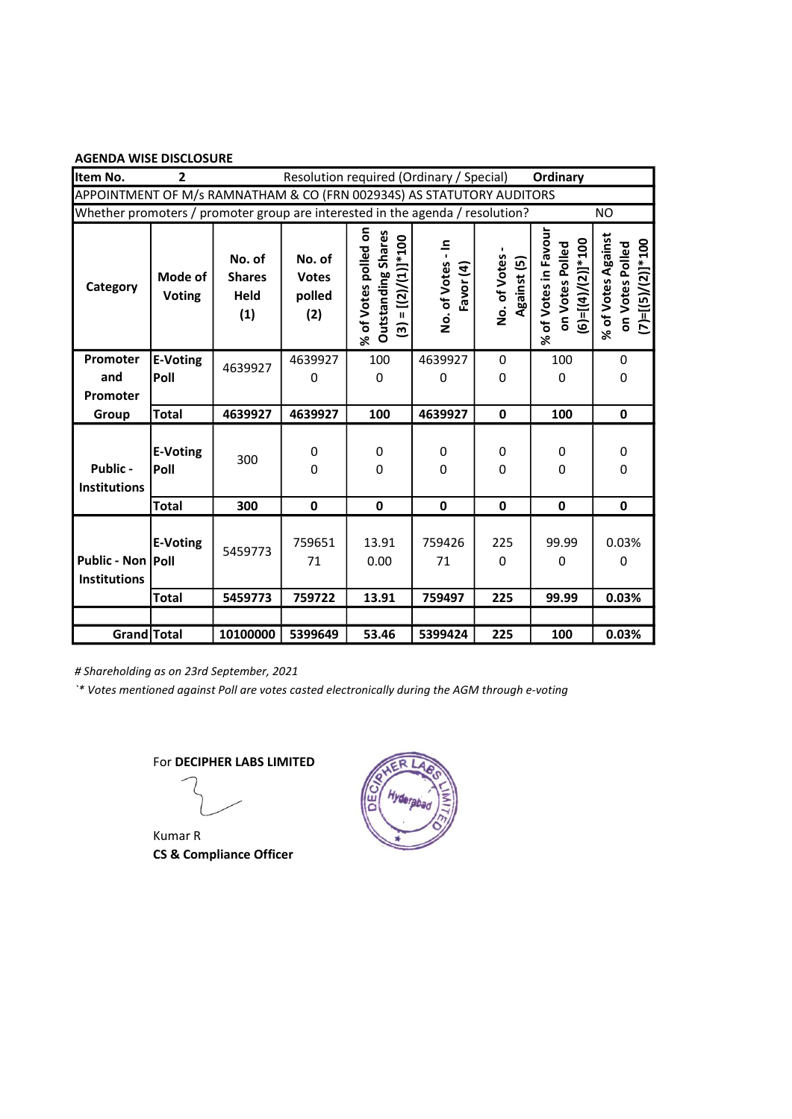| Item No.                                                                      | $\overline{2}$           |                                        |                                         | Resolution required (Ordinary / Special)                                    |                                |                             | Ordinary                                                       |                                                              |
|-------------------------------------------------------------------------------|--------------------------|----------------------------------------|-----------------------------------------|-----------------------------------------------------------------------------|--------------------------------|-----------------------------|----------------------------------------------------------------|--------------------------------------------------------------|
| APPOINTMENT OF M/s RAMNATHAM & CO (FRN 002934S) AS STATUTORY AUDITORS         |                          |                                        |                                         |                                                                             |                                |                             |                                                                |                                                              |
| Whether promoters / promoter group are interested in the agenda / resolution? |                          |                                        |                                         |                                                                             |                                |                             |                                                                | <b>NO</b>                                                    |
| Category                                                                      | Mode of<br><b>Voting</b> | No. of<br><b>Shares</b><br>Held<br>(1) | No. of<br><b>Votes</b><br>polled<br>(2) | % of Votes polled on<br><b>Outstanding Shares</b><br>$(3) = [(2)/(1)]$ *100 | ÷<br>No. of Votes<br>Favor (4) | No. of Votes<br>Against (5) | % of Votes in Favour<br>$(6)=[(4)/(2)]*100$<br>on Votes Polled | % of Votes Against<br>$(7)=[(5)/(2)]*100$<br>on Votes Polled |
| Promoter<br>and<br>Promoter                                                   | <b>E-Voting</b><br>Poll  | 4639927                                | 4639927<br>0                            | 100<br>0                                                                    | 4639927<br>0                   | 0<br>0                      | 100<br>0                                                       | 0<br>0                                                       |
| Group                                                                         | <b>Total</b>             | 4639927                                | 4639927                                 | 100                                                                         | 4639927                        | $\mathbf 0$                 | 100                                                            | 0                                                            |
| Public -<br><b>Institutions</b>                                               | <b>E-Voting</b><br>Poll  | 300                                    | 0<br>0                                  | 0<br>0                                                                      | 0<br>0                         | 0<br>0                      | 0<br>0                                                         | 0<br>0                                                       |
|                                                                               | <b>Total</b>             | 300                                    | $\mathbf 0$                             | $\mathbf 0$                                                                 | $\mathbf 0$                    | $\mathbf 0$                 | $\mathbf 0$                                                    | $\mathbf 0$                                                  |
| Public - Non Poll<br><b>Institutions</b>                                      | <b>E-Voting</b>          | 5459773                                | 759651<br>71                            | 13.91<br>0.00                                                               | 759426<br>71                   | 225<br>0                    | 99.99<br>0                                                     | 0.03%<br>0                                                   |
|                                                                               | <b>Total</b>             | 5459773                                | 759722                                  | 13.91                                                                       | 759497                         | 225                         | 99.99                                                          | 0.03%                                                        |
|                                                                               |                          |                                        |                                         |                                                                             |                                |                             |                                                                |                                                              |
| Grand Total                                                                   |                          | 10100000                               | 5399649                                 | 53.46                                                                       | 5399424                        | 225                         | 100                                                            | 0.03%                                                        |

# Shareholding as on 23rd September, 2021

`\* Votes mentioned against Poll are votes casted electronically during the AGM through e-voting

Kumar R CS & Compliance Officer

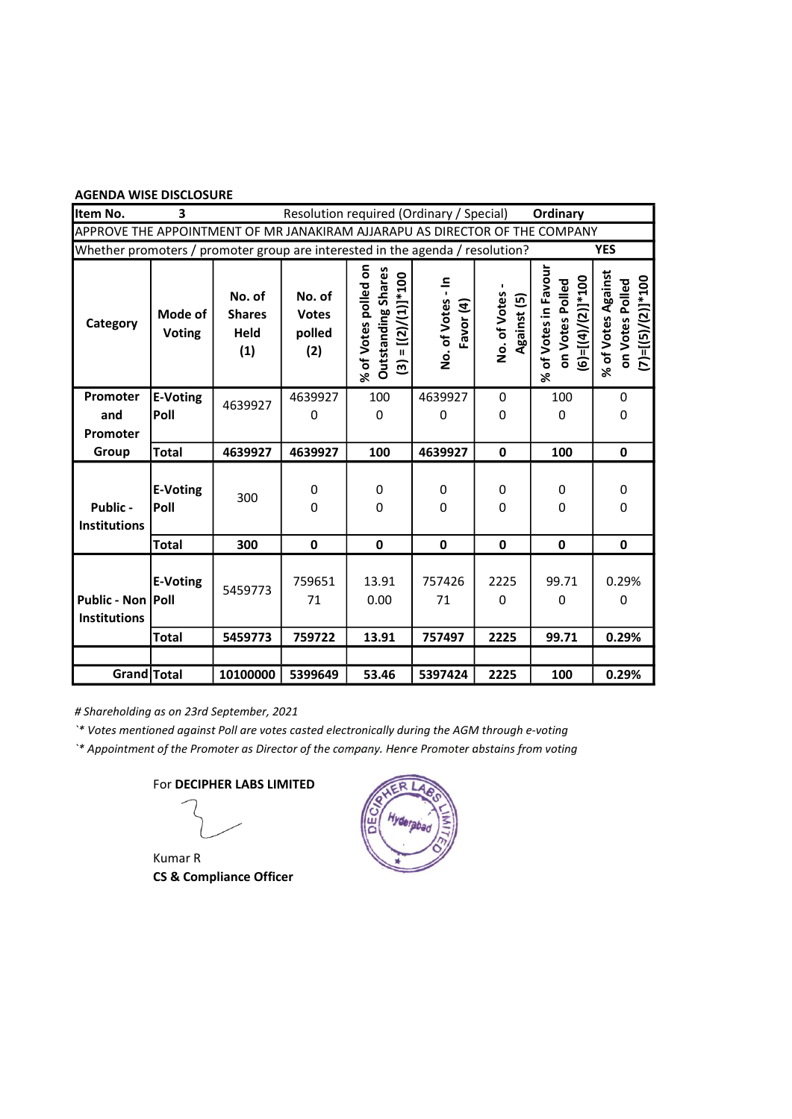| Item No.                                                                      | 3                        |                                        | Resolution required (Ordinary / Special) |                                                                              |                                |                             | Ordinary                                                       |                                                              |
|-------------------------------------------------------------------------------|--------------------------|----------------------------------------|------------------------------------------|------------------------------------------------------------------------------|--------------------------------|-----------------------------|----------------------------------------------------------------|--------------------------------------------------------------|
| APPROVE THE APPOINTMENT OF MR JANAKIRAM AJJARAPU AS DIRECTOR OF THE COMPANY   |                          |                                        |                                          |                                                                              |                                |                             |                                                                |                                                              |
| Whether promoters / promoter group are interested in the agenda / resolution? |                          |                                        |                                          |                                                                              |                                |                             |                                                                | <b>YES</b>                                                   |
| Category                                                                      | Mode of<br><b>Voting</b> | No. of<br><b>Shares</b><br>Held<br>(1) | No. of<br><b>Votes</b><br>polled<br>(2)  | % of Votes polled on<br><b>Outstanding Shares</b><br>$(3) = [(2)/(1)] * 100$ | 흑<br>No. of Votes<br>Favor (4) | No. of Votes<br>Against (5) | % of Votes in Favour<br>$(6)=[(4)/(2)]*100$<br>on Votes Polled | % of Votes Against<br>$(7)=[(5)/(2)]*100$<br>on Votes Polled |
| Promoter<br>and<br>Promoter                                                   | <b>E-Voting</b><br>Poll  | 4639927                                | 4639927<br>0                             | 100<br>0                                                                     | 4639927<br>0                   | 0<br>0                      | 100<br>0                                                       | 0<br>0                                                       |
| Group                                                                         | <b>Total</b>             | 4639927                                | 4639927                                  | 100                                                                          | 4639927                        | $\mathbf 0$                 | 100                                                            | $\mathbf 0$                                                  |
| Public -<br><b>Institutions</b>                                               | <b>E-Voting</b><br>Poll  | 300                                    | 0<br>0                                   | 0<br>0                                                                       | 0<br>0                         | 0<br>0                      | 0<br>0                                                         | 0<br>0                                                       |
|                                                                               | <b>Total</b>             | 300                                    | $\mathbf 0$                              | $\mathbf 0$                                                                  | $\mathbf 0$                    | $\mathbf 0$                 | 0                                                              | $\mathbf 0$                                                  |
| Public - Non Poll<br><b>Institutions</b>                                      | <b>E-Voting</b>          | 5459773                                | 759651<br>71                             | 13.91<br>0.00                                                                | 757426<br>71                   | 2225<br>0                   | 99.71<br>0                                                     | 0.29%<br>0                                                   |
|                                                                               | <b>Total</b>             | 5459773                                | 759722                                   | 13.91                                                                        | 757497                         | 2225                        | 99.71                                                          | 0.29%                                                        |
|                                                                               |                          |                                        |                                          |                                                                              |                                |                             |                                                                |                                                              |
| Grand Total                                                                   |                          | 10100000                               | 5399649                                  | 53.46                                                                        | 5397424                        | 2225                        | 100                                                            | 0.29%                                                        |

# Shareholding as on 23rd September, 2021

`\* Votes mentioned against Poll are votes casted electronically during the AGM through e-voting

`\* Appointment of the Promoter as Director of the company. Hence Promoter abstains from voting

Kumar R CS & Compliance Officer

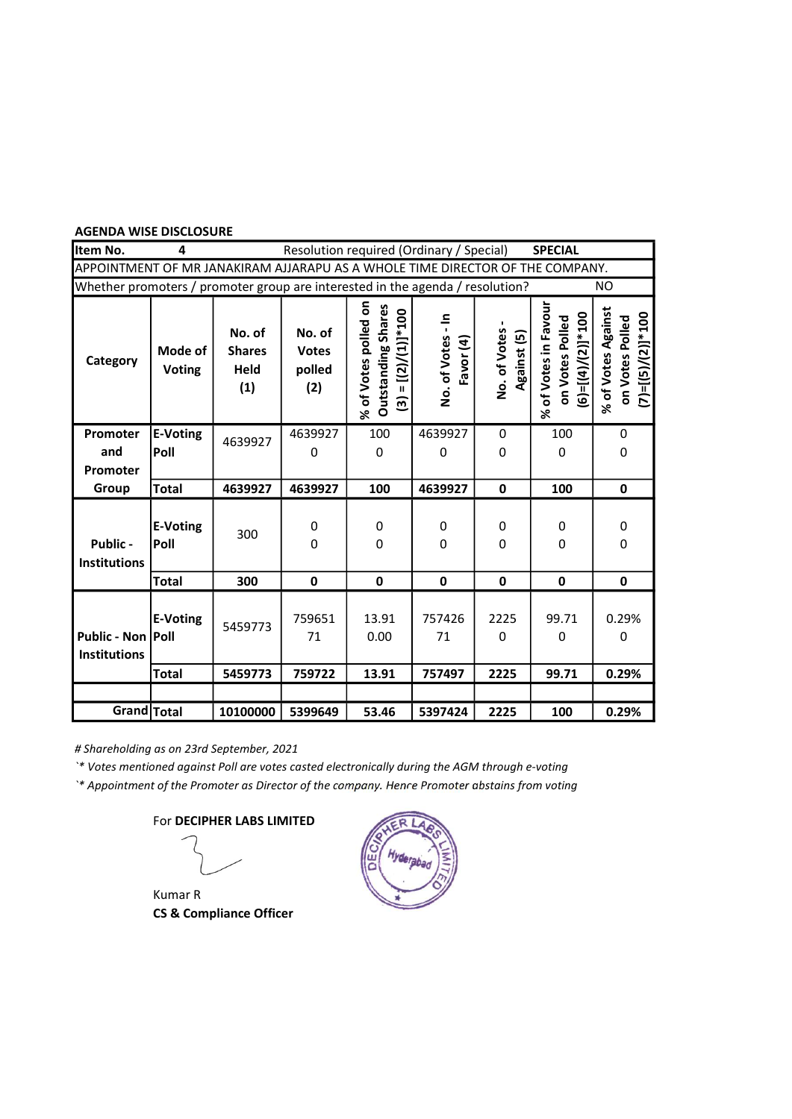| Item No.                                                                      | 4                        |                                        |                                         | Resolution required (Ordinary / Special)                                    |                                |                             | <b>SPECIAL</b>                                                 |                                                               |
|-------------------------------------------------------------------------------|--------------------------|----------------------------------------|-----------------------------------------|-----------------------------------------------------------------------------|--------------------------------|-----------------------------|----------------------------------------------------------------|---------------------------------------------------------------|
| APPOINTMENT OF MR JANAKIRAM AJJARAPU AS A WHOLE TIME DIRECTOR OF THE COMPANY. |                          |                                        |                                         |                                                                             |                                |                             |                                                                |                                                               |
| Whether promoters / promoter group are interested in the agenda / resolution? |                          |                                        |                                         |                                                                             |                                |                             |                                                                | NO.                                                           |
| Category                                                                      | Mode of<br><b>Voting</b> | No. of<br><b>Shares</b><br>Held<br>(1) | No. of<br><b>Votes</b><br>polled<br>(2) | % of Votes polled on<br><b>Outstanding Shares</b><br>$(3) = [(2)/(1)]$ *100 | 흑<br>No. of Votes<br>Favor (4) | No. of Votes<br>Against (5) | % of Votes in Favour<br>$(6)=[(4)/(2)]*100$<br>on Votes Polled | % of Votes Against<br>$(7)$ =[(5)/(2)]*100<br>on Votes Polled |
| Promoter                                                                      | <b>E-Voting</b>          | 4639927                                | 4639927                                 | 100                                                                         | 4639927                        | 0                           | 100                                                            | 0                                                             |
| and                                                                           | Poll                     |                                        | 0                                       | 0                                                                           | 0                              | 0                           | 0                                                              | 0                                                             |
| Promoter                                                                      |                          |                                        |                                         |                                                                             |                                |                             |                                                                |                                                               |
| Group                                                                         | <b>Total</b>             | 4639927                                | 4639927                                 | 100                                                                         | 4639927                        | $\mathbf 0$                 | 100                                                            | $\mathbf 0$                                                   |
| Public -<br><b>Institutions</b>                                               | <b>E-Voting</b><br>Poll  | 300                                    | 0<br>$\mathbf{0}$                       | 0<br>0                                                                      | 0<br>0                         | 0<br>0                      | 0<br>0                                                         | 0<br>0                                                        |
|                                                                               | <b>Total</b>             | 300                                    | $\mathbf 0$                             | $\mathbf 0$                                                                 | $\mathbf 0$                    | $\mathbf{0}$                | $\mathbf 0$                                                    | $\mathbf 0$                                                   |
| Public - Non   Poll<br><b>Institutions</b>                                    | E-Voting                 | 5459773                                | 759651<br>71                            | 13.91<br>0.00                                                               | 757426<br>71                   | 2225<br>0                   | 99.71<br>0                                                     | 0.29%<br>0                                                    |
|                                                                               | <b>Total</b>             | 5459773                                | 759722                                  | 13.91                                                                       | 757497                         | 2225                        | 99.71                                                          | 0.29%                                                         |
|                                                                               |                          |                                        |                                         |                                                                             |                                |                             |                                                                |                                                               |
| Grand Total                                                                   |                          | 10100000                               | 5399649                                 | 53.46                                                                       | 5397424                        | 2225                        | 100                                                            | 0.29%                                                         |

# Shareholding as on 23rd September, 2021

`\* Votes mentioned against Poll are votes casted electronically during the AGM through e-voting

`\* Appointment of the Promoter as Director of the company. Hence Promoter abstains from voting

Kumar R CS & Compliance Officer